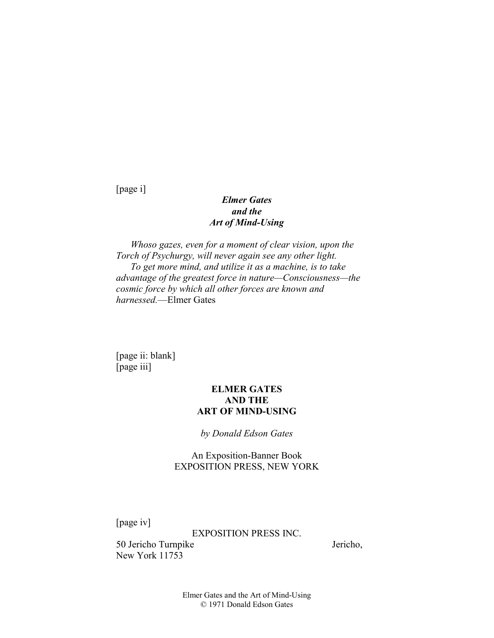[page i]

# *Elmer Gates and the Art of Mind-Using*

*Whoso gazes, even for a moment of clear vision, upon the Torch of Psychurgy, will never again see any other light. To get more mind, and utilize it as a machine, is to take advantage of the greatest force in nature—Consciousness—the cosmic force by which all other forces are known and harnessed.*—Elmer Gates

[page ii: blank] [page iii]

## **ELMER GATES AND THE ART OF MIND-USING**

*by Donald Edson Gates* 

An Exposition-Banner Book EXPOSITION PRESS, NEW YORK

[page iv]

EXPOSITION PRESS INC.

50 Jericho Turnpike Jericho, New York 11753

Elmer Gates and the Art of Mind-Using © 1971 Donald Edson Gates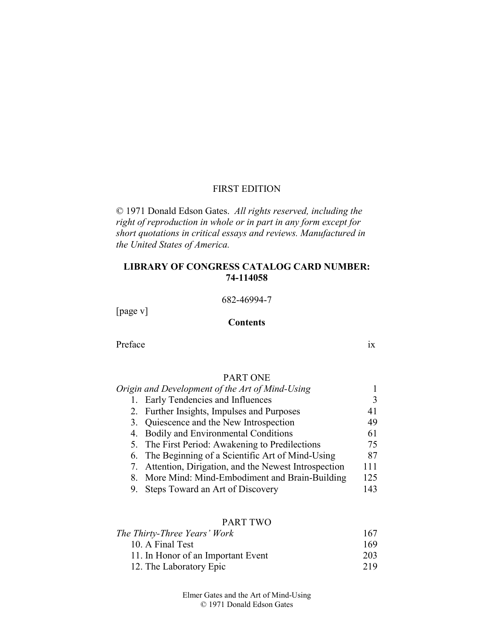## FIRST EDITION

© 1971 Donald Edson Gates. *All rights reserved, including the right of reproduction in whole or in part in any form except for short quotations in critical essays and reviews. Manufactured in the United States of America.* 

## **LIBRARY OF CONGRESS CATALOG CARD NUMBER: 74-114058**

682-46994-7

[page v]

#### **Contents**

Preface ix

## PART ONE

| Origin and Development of the Art of Mind-Using        |     |
|--------------------------------------------------------|-----|
| 1. Early Tendencies and Influences                     |     |
| 2. Further Insights, Impulses and Purposes             | 41  |
| 3. Quiescence and the New Introspection                | 49  |
| 4. Bodily and Environmental Conditions                 | 61  |
| 5. The First Period: Awakening to Predilections        | 75  |
| 6. The Beginning of a Scientific Art of Mind-Using     | 87  |
| 7. Attention, Dirigation, and the Newest Introspection | 111 |
| 8. More Mind: Mind-Embodiment and Brain-Building       | 125 |
| Steps Toward an Art of Discovery                       | 143 |

## PART TWO

| The Thirty-Three Years' Work       | 167 |
|------------------------------------|-----|
| 10. A Final Test                   | 169 |
| 11. In Honor of an Important Event | 203 |
| 12. The Laboratory Epic            | 219 |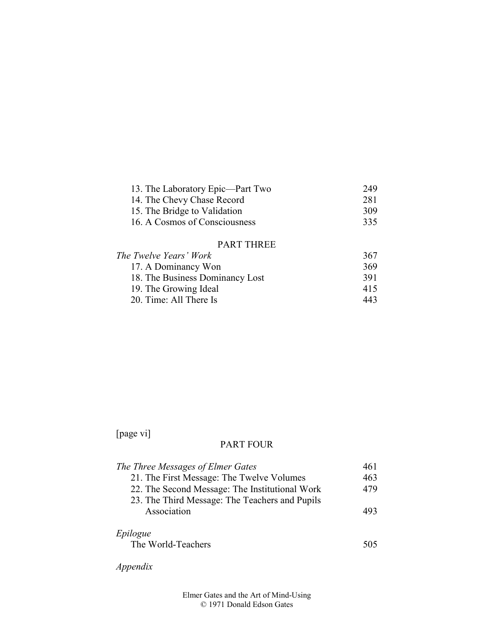| 13. The Laboratory Epic—Part Two | 249 |
|----------------------------------|-----|
| 14. The Chevy Chase Record       | 281 |
| 15. The Bridge to Validation     | 309 |
| 16. A Cosmos of Consciousness    | 335 |
|                                  |     |

## PART THREE

| The Twelve Years' Work          | 367 |
|---------------------------------|-----|
| 17. A Dominancy Won             | 369 |
| 18. The Business Dominancy Lost | 391 |
| 19. The Growing Ideal           | 415 |
| 20. Time: All There Is          | 443 |

# [page vi]

## PART FOUR

| The Three Messages of Elmer Gates              | 461 |
|------------------------------------------------|-----|
| 21. The First Message: The Twelve Volumes      | 463 |
| 22. The Second Message: The Institutional Work | 479 |
| 23. The Third Message: The Teachers and Pupils |     |
| Association                                    | 493 |
|                                                |     |
| Epilogue                                       |     |
| The World-Teachers                             | 505 |
|                                                |     |

*Appendix*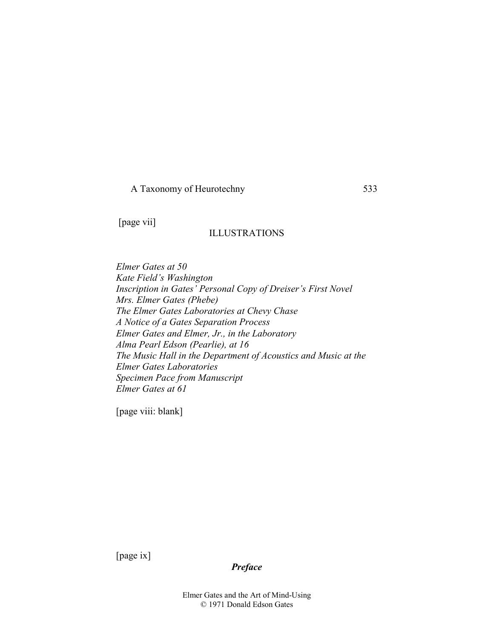A Taxonomy of Heurotechny 533

[page vii]

## ILLUSTRATIONS

*Elmer Gates at 50 Kate Field's Washington Inscription in Gates' Personal Copy of Dreiser's First Novel Mrs. Elmer Gates (Phebe) The Elmer Gates Laboratories at Chevy Chase A Notice of a Gates Separation Process Elmer Gates and Elmer, Jr., in the Laboratory Alma Pearl Edson (Pearlie), at 16 The Music Hall in the Department of Acoustics and Music at the Elmer Gates Laboratories Specimen Pace from Manuscript Elmer Gates at 61* 

[page viii: blank]

[page ix]

Elmer Gates and the Art of Mind-Using © 1971 Donald Edson Gates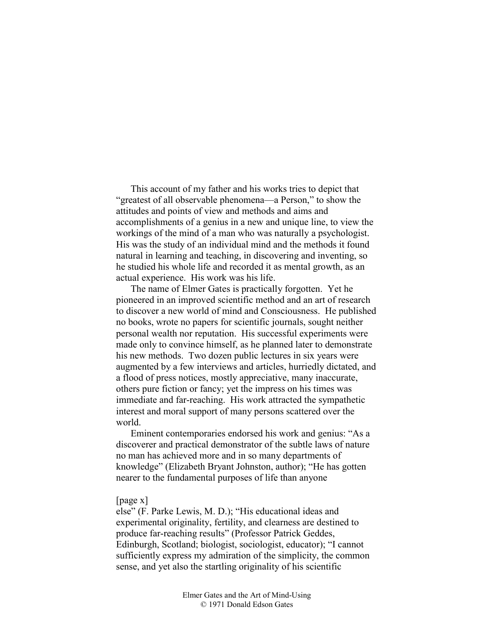This account of my father and his works tries to depict that "greatest of all observable phenomena—a Person," to show the attitudes and points of view and methods and aims and accomplishments of a genius in a new and unique line, to view the workings of the mind of a man who was naturally a psychologist. His was the study of an individual mind and the methods it found natural in learning and teaching, in discovering and inventing, so he studied his whole life and recorded it as mental growth, as an actual experience. His work was his life.

The name of Elmer Gates is practically forgotten. Yet he pioneered in an improved scientific method and an art of research to discover a new world of mind and Consciousness. He published no books, wrote no papers for scientific journals, sought neither personal wealth nor reputation. His successful experiments were made only to convince himself, as he planned later to demonstrate his new methods. Two dozen public lectures in six years were augmented by a few interviews and articles, hurriedly dictated, and a flood of press notices, mostly appreciative, many inaccurate, others pure fiction or fancy; yet the impress on his times was immediate and far-reaching. His work attracted the sympathetic interest and moral support of many persons scattered over the world.

Eminent contemporaries endorsed his work and genius: "As a discoverer and practical demonstrator of the subtle laws of nature no man has achieved more and in so many departments of knowledge" (Elizabeth Bryant Johnston, author); "He has gotten nearer to the fundamental purposes of life than anyone

#### [page x]

else" (F. Parke Lewis, M. D.); "His educational ideas and experimental originality, fertility, and clearness are destined to produce far-reaching results" (Professor Patrick Geddes, Edinburgh, Scotland; biologist, sociologist, educator); "I cannot sufficiently express my admiration of the simplicity, the common sense, and yet also the startling originality of his scientific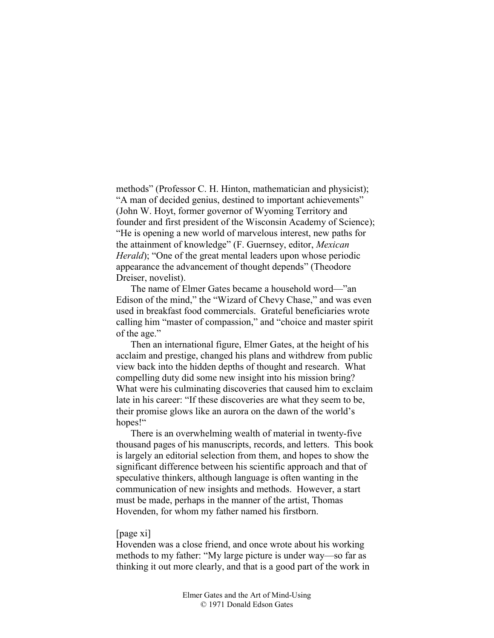methods" (Professor C. H. Hinton, mathematician and physicist); "A man of decided genius, destined to important achievements" (John W. Hoyt, former governor of Wyoming Territory and founder and first president of the Wisconsin Academy of Science); "He is opening a new world of marvelous interest, new paths for the attainment of knowledge" (F. Guernsey, editor, *Mexican Herald*); "One of the great mental leaders upon whose periodic appearance the advancement of thought depends" (Theodore Dreiser, novelist).

The name of Elmer Gates became a household word—"an Edison of the mind," the "Wizard of Chevy Chase," and was even used in breakfast food commercials. Grateful beneficiaries wrote calling him "master of compassion," and "choice and master spirit of the age."

Then an international figure, Elmer Gates, at the height of his acclaim and prestige, changed his plans and withdrew from public view back into the hidden depths of thought and research. What compelling duty did some new insight into his mission bring? What were his culminating discoveries that caused him to exclaim late in his career: "If these discoveries are what they seem to be, their promise glows like an aurora on the dawn of the world's hopes!"

There is an overwhelming wealth of material in twenty-five thousand pages of his manuscripts, records, and letters. This book is largely an editorial selection from them, and hopes to show the significant difference between his scientific approach and that of speculative thinkers, although language is often wanting in the communication of new insights and methods. However, a start must be made, perhaps in the manner of the artist, Thomas Hovenden, for whom my father named his firstborn.

#### [page xi]

Hovenden was a close friend, and once wrote about his working methods to my father: "My large picture is under way—so far as thinking it out more clearly, and that is a good part of the work in